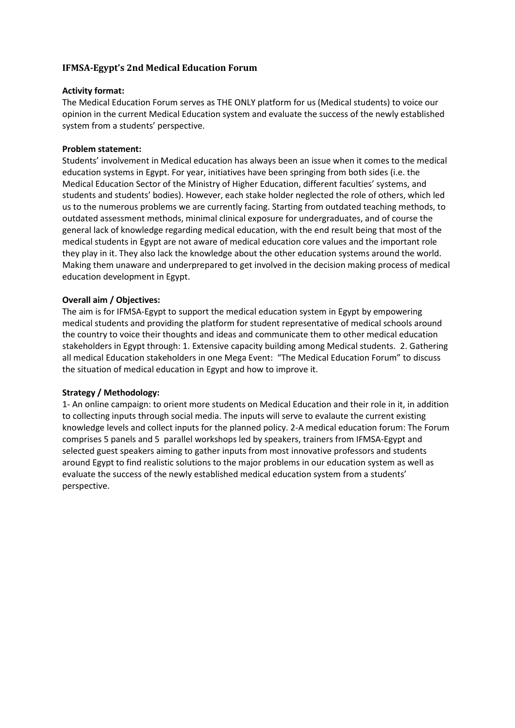# **IFMSA-Egypt's 2nd Medical Education Forum**

#### **Activity format:**

The Medical Education Forum serves as THE ONLY platform for us (Medical students) to voice our opinion in the current Medical Education system and evaluate the success of the newly established system from a students' perspective.

#### **Problem statement:**

Students' involvement in Medical education has always been an issue when it comes to the medical education systems in Egypt. For year, initiatives have been springing from both sides (i.e. the Medical Education Sector of the Ministry of Higher Education, different faculties' systems, and students and students' bodies). However, each stake holder neglected the role of others, which led us to the numerous problems we are currently facing. Starting from outdated teaching methods, to outdated assessment methods, minimal clinical exposure for undergraduates, and of course the general lack of knowledge regarding medical education, with the end result being that most of the medical students in Egypt are not aware of medical education core values and the important role they play in it. They also lack the knowledge about the other education systems around the world. Making them unaware and underprepared to get involved in the decision making process of medical education development in Egypt.

#### **Overall aim / Objectives:**

The aim is for IFMSA-Egypt to support the medical education system in Egypt by empowering medical students and providing the platform for student representative of medical schools around the country to voice their thoughts and ideas and communicate them to other medical education stakeholders in Egypt through: 1. Extensive capacity building among Medical students. 2. Gathering all medical Education stakeholders in one Mega Event: "The Medical Education Forum" to discuss the situation of medical education in Egypt and how to improve it.

# **Strategy / Methodology:**

1- An online campaign: to orient more students on Medical Education and their role in it, in addition to collecting inputs through social media. The inputs will serve to evalaute the current existing knowledge levels and collect inputs for the planned policy. 2-A medical education forum: The Forum comprises 5 panels and 5 parallel workshops led by speakers, trainers from IFMSA-Egypt and selected guest speakers aiming to gather inputs from most innovative professors and students around Egypt to find realistic solutions to the major problems in our education system as well as evaluate the success of the newly established medical education system from a students' perspective.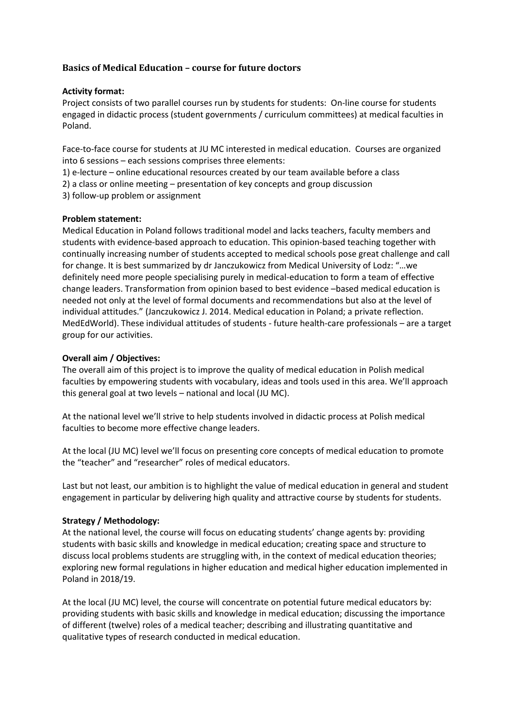# **Basics of Medical Education – course for future doctors**

#### **Activity format:**

Project consists of two parallel courses run by students for students: On-line course for students engaged in didactic process (student governments / curriculum committees) at medical faculties in Poland.

Face-to-face course for students at JU MC interested in medical education. Courses are organized into 6 sessions – each sessions comprises three elements:

1) e-lecture – online educational resources created by our team available before a class

2) a class or online meeting – presentation of key concepts and group discussion

3) follow-up problem or assignment

#### **Problem statement:**

Medical Education in Poland follows traditional model and lacks teachers, faculty members and students with evidence-based approach to education. This opinion-based teaching together with continually increasing number of students accepted to medical schools pose great challenge and call for change. It is best summarized by dr Janczukowicz from Medical University of Lodz: "…we definitely need more people specialising purely in medical-education to form a team of effective change leaders. Transformation from opinion based to best evidence –based medical education is needed not only at the level of formal documents and recommendations but also at the level of individual attitudes." (Janczukowicz J. 2014. Medical education in Poland; a private reflection. MedEdWorld). These individual attitudes of students - future health-care professionals – are a target group for our activities.

#### **Overall aim / Objectives:**

The overall aim of this project is to improve the quality of medical education in Polish medical faculties by empowering students with vocabulary, ideas and tools used in this area. We'll approach this general goal at two levels – national and local (JU MC).

At the national level we'll strive to help students involved in didactic process at Polish medical faculties to become more effective change leaders.

At the local (JU MC) level we'll focus on presenting core concepts of medical education to promote the "teacher" and "researcher" roles of medical educators.

Last but not least, our ambition is to highlight the value of medical education in general and student engagement in particular by delivering high quality and attractive course by students for students.

# **Strategy / Methodology:**

At the national level, the course will focus on educating students' change agents by: providing students with basic skills and knowledge in medical education; creating space and structure to discuss local problems students are struggling with, in the context of medical education theories; exploring new formal regulations in higher education and medical higher education implemented in Poland in 2018/19.

At the local (JU MC) level, the course will concentrate on potential future medical educators by: providing students with basic skills and knowledge in medical education; discussing the importance of different (twelve) roles of a medical teacher; describing and illustrating quantitative and qualitative types of research conducted in medical education.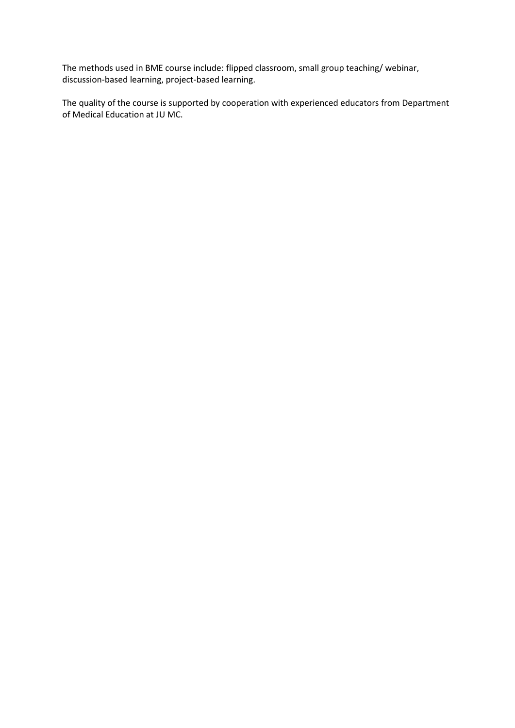The methods used in BME course include: flipped classroom, small group teaching/ webinar, discussion-based learning, project-based learning.

The quality of the course is supported by cooperation with experienced educators from Department of Medical Education at JU MC.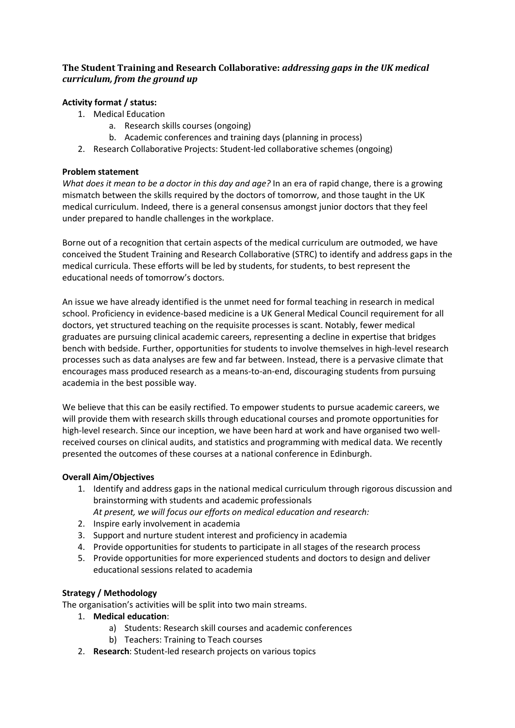# **The Student Training and Research Collaborative:** *addressing gaps in the UK medical curriculum, from the ground up*

# **Activity format / status:**

- 1. Medical Education
	- a. Research skills courses (ongoing)
	- b. Academic conferences and training days (planning in process)
- 2. Research Collaborative Projects: Student-led collaborative schemes (ongoing)

# **Problem statement**

*What does it mean to be a doctor in this day and age?* In an era of rapid change, there is a growing mismatch between the skills required by the doctors of tomorrow, and those taught in the UK medical curriculum. Indeed, there is a general consensus amongst junior doctors that they feel under prepared to handle challenges in the workplace.

Borne out of a recognition that certain aspects of the medical curriculum are outmoded, we have conceived the Student Training and Research Collaborative (STRC) to identify and address gaps in the medical curricula. These efforts will be led by students, for students, to best represent the educational needs of tomorrow's doctors.

An issue we have already identified is the unmet need for formal teaching in research in medical school. Proficiency in evidence-based medicine is a UK General Medical Council requirement for all doctors, yet structured teaching on the requisite processes is scant. Notably, fewer medical graduates are pursuing clinical academic careers, representing a decline in expertise that bridges bench with bedside. Further, opportunities for students to involve themselves in high-level research processes such as data analyses are few and far between. Instead, there is a pervasive climate that encourages mass produced research as a means-to-an-end, discouraging students from pursuing academia in the best possible way.

We believe that this can be easily rectified. To empower students to pursue academic careers, we will provide them with research skills through educational courses and promote opportunities for high-level research. Since our inception, we have been hard at work and have organised two wellreceived courses on clinical audits, and statistics and programming with medical data. We recently presented the outcomes of these courses at a national conference in Edinburgh.

# **Overall Aim/Objectives**

- 1. Identify and address gaps in the national medical curriculum through rigorous discussion and brainstorming with students and academic professionals *At present, we will focus our efforts on medical education and research:*
- 2. Inspire early involvement in academia
- 3. Support and nurture student interest and proficiency in academia
- 4. Provide opportunities for students to participate in all stages of the research process
- 5. Provide opportunities for more experienced students and doctors to design and deliver educational sessions related to academia

# **Strategy / Methodology**

The organisation's activities will be split into two main streams.

# 1. **Medical education**:

- a) Students: Research skill courses and academic conferences
- b) Teachers: Training to Teach courses
- 2. **Research**: Student-led research projects on various topics